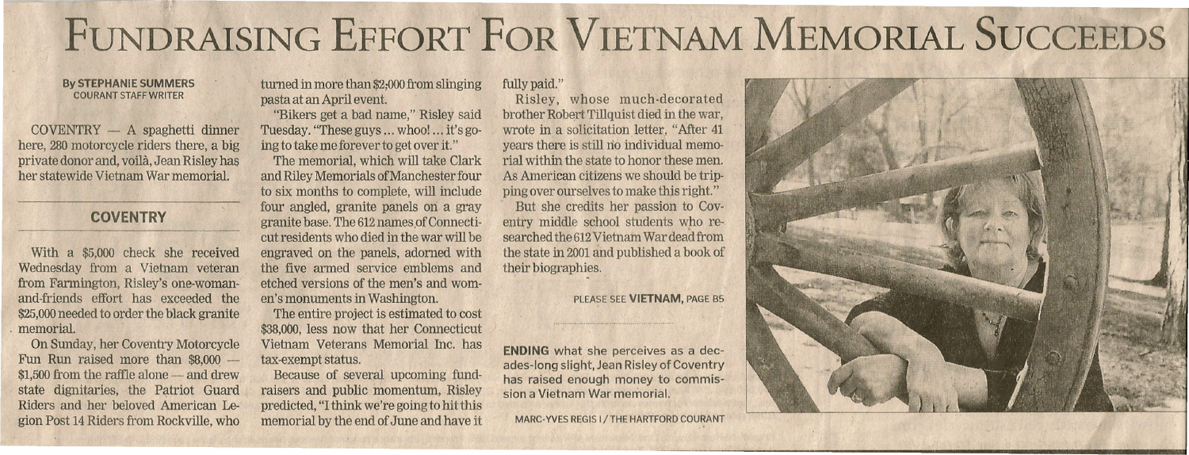## **FUNDRAISING EFFORT FOR VIETNAM MEMORIAL SUCCEEDS**

#### **By STEPHANIE SUMMERS** COURANT STAFF WRITER

 $COVENTRY - A$  spaghetti dinner here, 280 motorcycle riders there, a big private donor and, voila, Jean Risley has her statewide Vietnam War memorial.

### **COVENTRY**

With a \$5,000 check she received Wednesday from a Vietnam veteran from Farmington, Risley's one-womanand-friends effort has exceeded the \$25,000 needed to order the black granite . memorial.

On Sunday, her Coventry Motorcycle Fun Run raised more than  $$8,000$  - $$1,500$  from the raffle alone  $-$  and drew state dignitaries, the Patriot Guard Riders and her beloved American Legion Post 14Riders from Rockville, who

turned in more than \$2,000 from slinging pasta at an April event.

"Bikers get a bad name," Risley said Tuesday. "These guys ... whoo! ... it's going to take me forever to get over it."

The memorial, which will take Clark and Riley Memorials ofManchester four to six months to complete, will include four angled, granite panels on a gray granite base. The 612 names of Connecticut residents who died in the war will be engraved on the panels, adorned with the five armed service emblems and etched versions of the men's and women's monuments in Washington.

The entire project is estimated to cost \$38,000, less now that her Connecticut Vietnam Veterans Memorial Inc. has tax-exempt status.

Because of several upcoming fundraisers and public momentum, Risley predicted, "Ithink we're going to hit this memorial by the end of June and have it

#### fully paid."

Risley, whose much-decorated brother Robert Tillquist died in the war, wrote in a solicitation letter, "After 41 years there is still no individual memorial within the state to honor these men. As American citizens we should be tripping over ourselves to make this right."

But she credits her passion to Coventry middle school students who researched the 612Vietnam War dead from the state in 2001and published a book of their biographies.

#### PLEASE SEE **VIETNAM,** PAGE 85

**ENDING** what she perceives as a decades-long slight, Jean Risley of Coventry has raised enough money to commission a Vietnam War memorial.

MARC- YVES REGIS 1/ THE HARTFORD COURANT